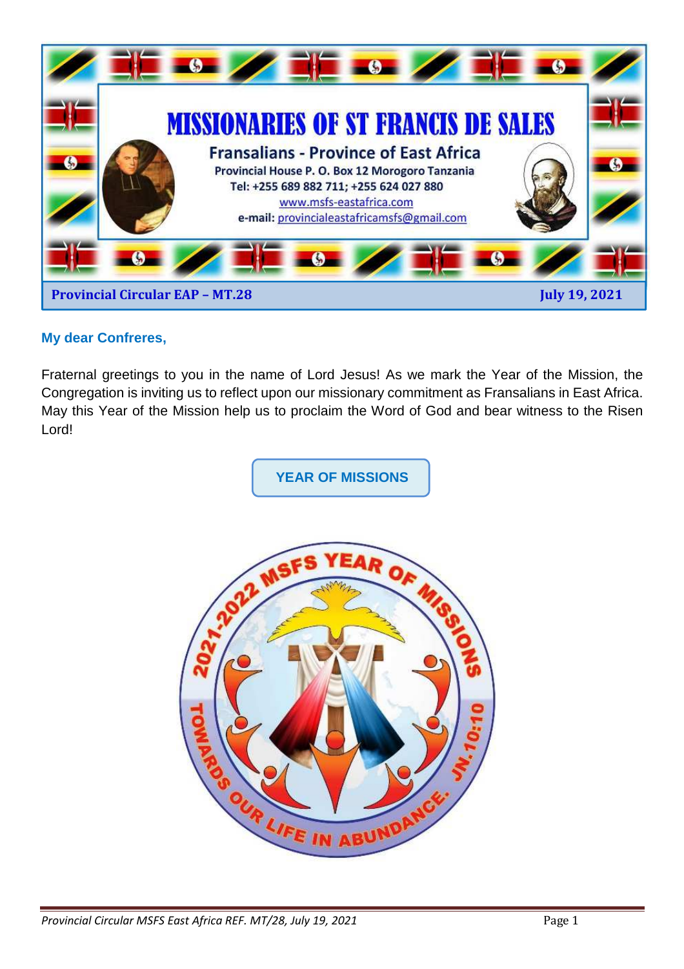

#### **My dear Confreres,**

Fraternal greetings to you in the name of Lord Jesus! As we mark the Year of the Mission, the Congregation is inviting us to reflect upon our missionary commitment as Fransalians in East Africa. May this Year of the Mission help us to proclaim the Word of God and bear witness to the Risen Lord!

**YEAR OF MISSIONS** 

![](_page_0_Picture_4.jpeg)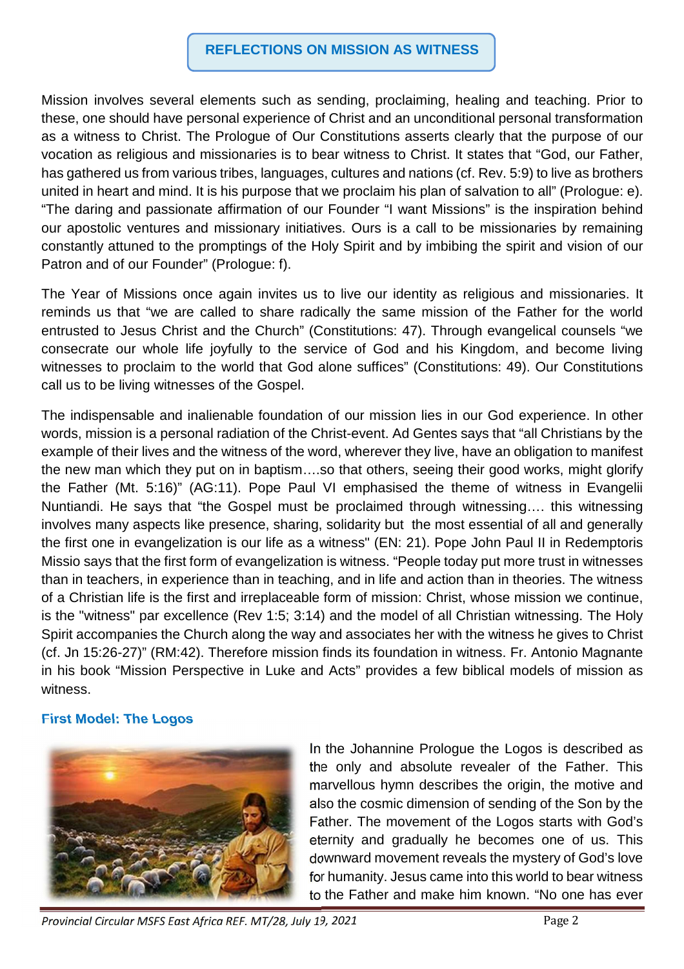#### **REFLECTIONS ON MISSION AS WITNESS**

Mission involves several elements such as sending, proclaiming, healing and teaching. Prior to these, one should have personal experience of Christ and an unconditional personal transformation as a witness to Christ. The Prologue of Our Constitutions asserts clearly that the purpose of our vocation as religious and missionaries is to bear witness to Christ. It states that "God, our Father, has gathered us from various tribes, languages, cultures and nations (cf. Rev. 5:9) to live as brothers united in heart and mind. It is his purpose that we proclaim his plan of salvation to all" (Prologue: e). "The daring and passionate affirmation of our Founder "I want Missions" is the inspiration behind our apostolic ventures and missionary initiatives. Ours is a call to be missionaries by remaining constantly attuned to the promptings of the Holy Spirit and by imbibing the spirit and vision of our Patron and of our Founder" (Prologue: f).

The Year of Missions once again invites us to live our identity as religious and missionaries. It reminds us that "we are called to share radically the same mission of the Father for the world entrusted to Jesus Christ and the Church" (Constitutions: 47). Through evangelical counsels "we consecrate our whole life joyfully to the service of God and his Kingdom, and become living witnesses to proclaim to the world that God alone suffices" (Constitutions: 49). Our Constitutions call us to be living witnesses of the Gospel.

The indispensable and inalienable foundation of our mission lies in our God experience. In other words, mission is a personal radiation of the Christ-event. Ad Gentes says that "all Christians by the example of their lives and the witness of the word, wherever they live, have an obligation to manifest the new man which they put on in baptism….so that others, seeing their good works, might glorify the Father (Mt. 5:16)" (AG:11). Pope Paul VI emphasised the theme of witness in Evangelii Nuntiandi. He says that "the Gospel must be proclaimed through witnessing…. this witnessing involves many aspects like presence, sharing, solidarity but the most essential of all and generally the first one in evangelization is our life as a witness" (EN: 21). Pope John Paul II in Redemptoris Missio says that the first form of evangelization is witness. "People today put more trust in witnesses than in teachers, in experience than in teaching, and in life and action than in theories. The witness of a Christian life is the first and irreplaceable form of mission: Christ, whose mission we continue, is the "witness" par excellence (Rev 1:5; 3:14) and the model of all Christian witnessing. The Holy Spirit accompanies the Church along the way and associates her with the witness he gives to Christ (cf. Jn 15:26-27)" (RM:42). Therefore mission finds its foundation in witness. Fr. Antonio Magnante in his book "Mission Perspective in Luke and Acts" provides a few biblical models of mission as witness.

#### **First Model: The Logos**

![](_page_1_Picture_5.jpeg)

In the Johannine Prologue the Logos is described as the only and absolute revealer of the Father. This marvellous hymn describes the origin, the motive and also the cosmic dimension of sending of the Son by the Father. The movement of the Logos starts with God's eternity and gradually he becomes one of us. This downward movement reveals the mystery of God's love for humanity. Jesus came into this world to bear witness to the Father and make him known. "No one has ever

*Provincial Circular MSFS East Africa REF. MT/28, July 19, 2021* Page 2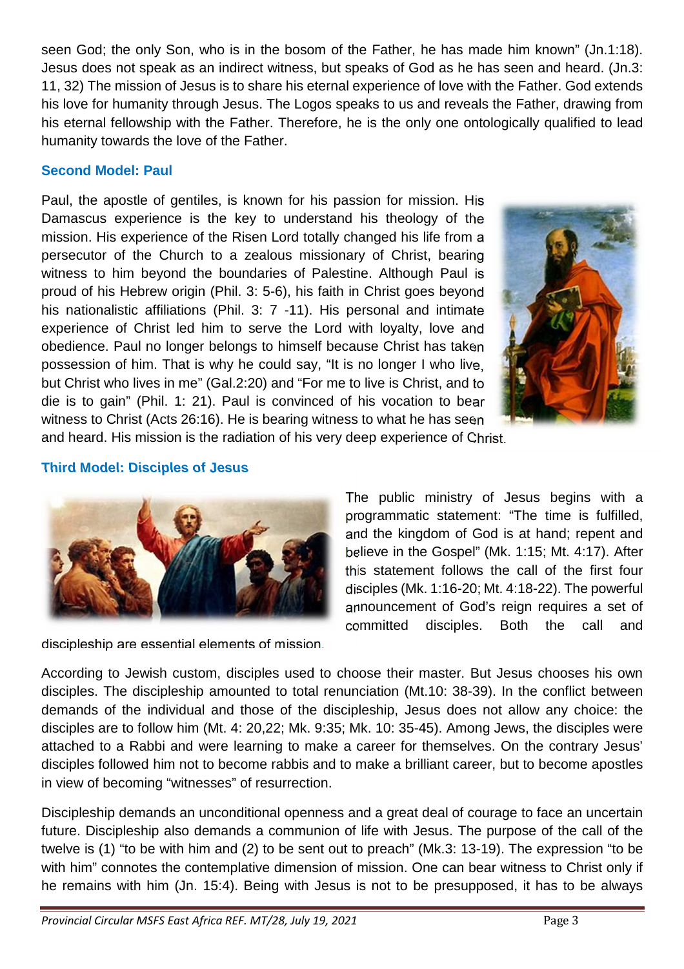seen God; the only Son, who is in the bosom of the Father, he has made him known" (Jn.1:18). Jesus does not speak as an indirect witness, but speaks of God as he has seen and heard. (Jn.3: 11, 32) The mission of Jesus is to share his eternal experience of love with the Father. God extends his love for humanity through Jesus. The Logos speaks to us and reveals the Father, drawing from his eternal fellowship with the Father. Therefore, he is the only one ontologically qualified to lead humanity towards the love of the Father.

#### **Second Model: Paul**

Paul, the apostle of gentiles, is known for his passion for mission. His Damascus experience is the key to understand his theology of the mission. His experience of the Risen Lord totally changed his life from a persecutor of the Church to a zealous missionary of Christ, bearing witness to him beyond the boundaries of Palestine. Although Paul is proud of his Hebrew origin (Phil. 3: 5-6), his faith in Christ goes beyond his nationalistic affiliations (Phil. 3: 7 -11). His personal and intimate experience of Christ led him to serve the Lord with loyalty, love and obedience. Paul no longer belongs to himself because Christ has taken possession of him. That is why he could say, "It is no longer I who live, but Christ who lives in me" (Gal.2:20) and "For me to live is Christ, and to die is to gain" (Phil. 1: 21). Paul is convinced of his vocation to bear witness to Christ (Acts 26:16). He is bearing witness to what he has seen and heard. His mission is the radiation of his very deep experience of Christ.

![](_page_2_Picture_3.jpeg)

**Third Model: Disciples of Jesus** 

![](_page_2_Picture_5.jpeg)

discipleship are essential elements of mission.

The public ministry of Jesus begins with a programmatic statement: "The time is fulfilled, and the kingdom of God is at hand; repent and believe in the Gospel" (Mk. 1:15; Mt. 4:17). After this statement follows the call of the first four disciples (Mk. 1:16-20; Mt. 4:18-22). The powerful announcement of God's reign requires a set of committed disciples. Both the call and

According to Jewish custom, disciples used to choose their master. But Jesus chooses his own disciples. The discipleship amounted to total renunciation (Mt.10: 38-39). In the conflict between demands of the individual and those of the discipleship, Jesus does not allow any choice: the disciples are to follow him (Mt. 4: 20,22; Mk. 9:35; Mk. 10: 35-45). Among Jews, the disciples were attached to a Rabbi and were learning to make a career for themselves. On the contrary Jesus' disciples followed him not to become rabbis and to make a brilliant career, but to become apostles in view of becoming "witnesses" of resurrection.

Discipleship demands an unconditional openness and a great deal of courage to face an uncertain future. Discipleship also demands a communion of life with Jesus. The purpose of the call of the twelve is (1) "to be with him and (2) to be sent out to preach" (Mk.3: 13-19). The expression "to be with him" connotes the contemplative dimension of mission. One can bear witness to Christ only if he remains with him (Jn. 15:4). Being with Jesus is not to be presupposed, it has to be always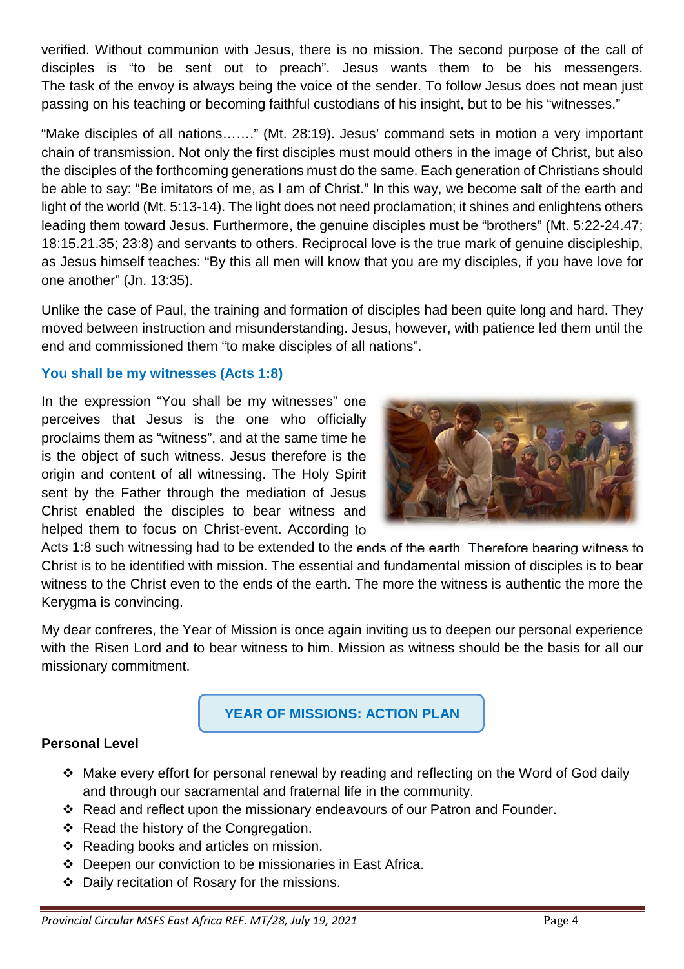verified. Without communion with Jesus, there is no mission. The second purpose of the call of disciples is "to be sent out to preach". Jesus wants them to be his messengers. The task of the envoy is always being the voice of the sender. To follow Jesus does not mean just passing on his teaching or becoming faithful custodians of his insight, but to be his "witnesses."

"Make disciples of all nations……." (Mt. 28:19). Jesus' command sets in motion a very important chain of transmission. Not only the first disciples must mould others in the image of Christ, but also the disciples of the forthcoming generations must do the same. Each generation of Christians should be able to say: "Be imitators of me, as I am of Christ." In this way, we become salt of the earth and light of the world (Mt. 5:13-14). The light does not need proclamation; it shines and enlightens others leading them toward Jesus. Furthermore, the genuine disciples must be "brothers" (Mt. 5:22-24.47; 18:15.21.35; 23:8) and servants to others. Reciprocal love is the true mark of genuine discipleship, as Jesus himself teaches: "By this all men will know that you are my disciples, if you have love for one another" (Jn. 13:35).

Unlike the case of Paul, the training and formation of disciples had been quite long and hard. They moved between instruction and misunderstanding. Jesus, however, with patience led them until the end and commissioned them "to make disciples of all nations".

#### **You shall be my witnesses (Acts 1:8)**

In the expression "You shall be my witnesses" one perceives that Jesus is the one who officially proclaims them as "witness", and at the same time he is the object of such witness. Jesus therefore is the origin and content of all witnessing. The Holy Spirit sent by the Father through the mediation of Jesus Christ enabled the disciples to bear witness and helped them to focus on Christ-event. According to

![](_page_3_Picture_5.jpeg)

Acts 1:8 such witnessing had to be extended to the ends of the earth. Therefore bearing witness to Christ is to be identified with mission. The essential and fundamental mission of disciples is to bear witness to the Christ even to the ends of the earth. The more the witness is authentic the more the Kerygma is convincing.

My dear confreres, the Year of Mission is once again inviting us to deepen our personal experience with the Risen Lord and to bear witness to him. Mission as witness should be the basis for all our missionary commitment.

## **YEAR OF MISSIONS: ACTION PLAN**

#### **Personal Level**

- Make every effort for personal renewal by reading and reflecting on the Word of God daily and through our sacramental and fraternal life in the community.
- Read and reflect upon the missionary endeavours of our Patron and Founder.
- ❖ Read the history of the Congregation.
- ❖ Reading books and articles on mission.
- Deepen our conviction to be missionaries in East Africa.
- Daily recitation of Rosary for the missions.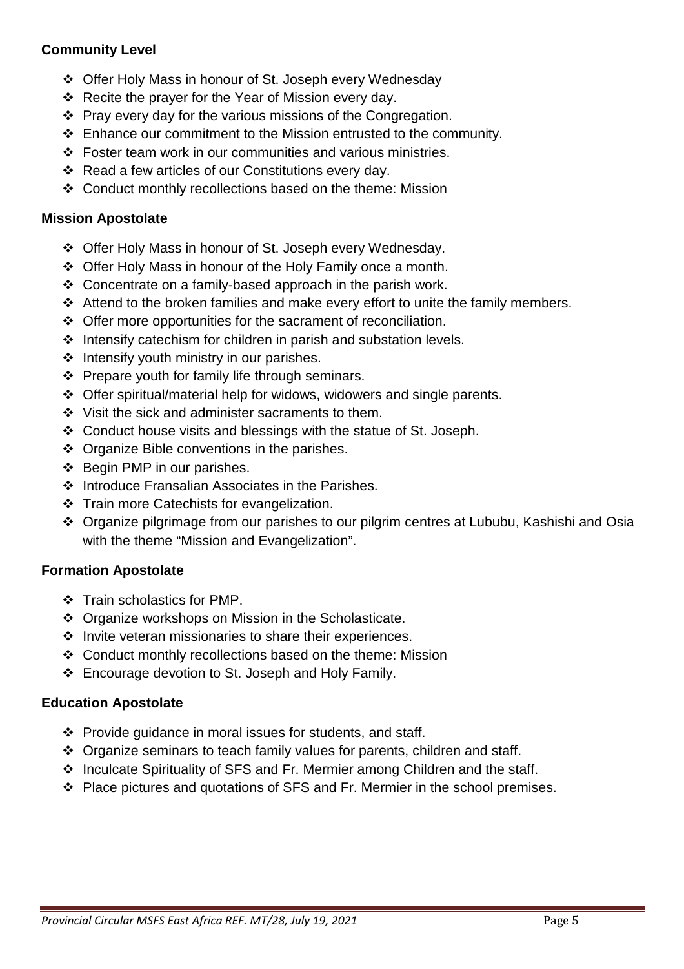#### **Community Level**

- Offer Holy Mass in honour of St. Joseph every Wednesday
- $\div$  Recite the prayer for the Year of Mission every day.
- $\div$  Pray every day for the various missions of the Congregation.
- Enhance our commitment to the Mission entrusted to the community.
- $\div$  Foster team work in our communities and various ministries.
- Read a few articles of our Constitutions every day.
- Conduct monthly recollections based on the theme: Mission

#### **Mission Apostolate**

- Offer Holy Mass in honour of St. Joseph every Wednesday.
- Offer Holy Mass in honour of the Holy Family once a month.
- $\div$  Concentrate on a family-based approach in the parish work.
- $\triangleleft$  Attend to the broken families and make every effort to unite the family members.
- Offer more opportunities for the sacrament of reconciliation.
- $\triangleleft$  Intensify catechism for children in parish and substation levels.
- $\div$  Intensify youth ministry in our parishes.
- $\div$  Prepare youth for family life through seminars.
- Offer spiritual/material help for widows, widowers and single parents.
- ❖ Visit the sick and administer sacraments to them.
- Conduct house visits and blessings with the statue of St. Joseph.
- ❖ Organize Bible conventions in the parishes.
- ❖ Begin PMP in our parishes.
- ❖ Introduce Fransalian Associates in the Parishes.
- Train more Catechists for evangelization.
- Organize pilgrimage from our parishes to our pilgrim centres at Lububu, Kashishi and Osia with the theme "Mission and Evangelization".

#### **Formation Apostolate**

- ❖ Train scholastics for PMP.
- Organize workshops on Mission in the Scholasticate.
- ❖ Invite veteran missionaries to share their experiences.
- Conduct monthly recollections based on the theme: Mission
- Encourage devotion to St. Joseph and Holy Family.

#### **Education Apostolate**

- $\div$  Provide guidance in moral issues for students, and staff.
- Organize seminars to teach family values for parents, children and staff.
- Inculcate Spirituality of SFS and Fr. Mermier among Children and the staff.
- Place pictures and quotations of SFS and Fr. Mermier in the school premises.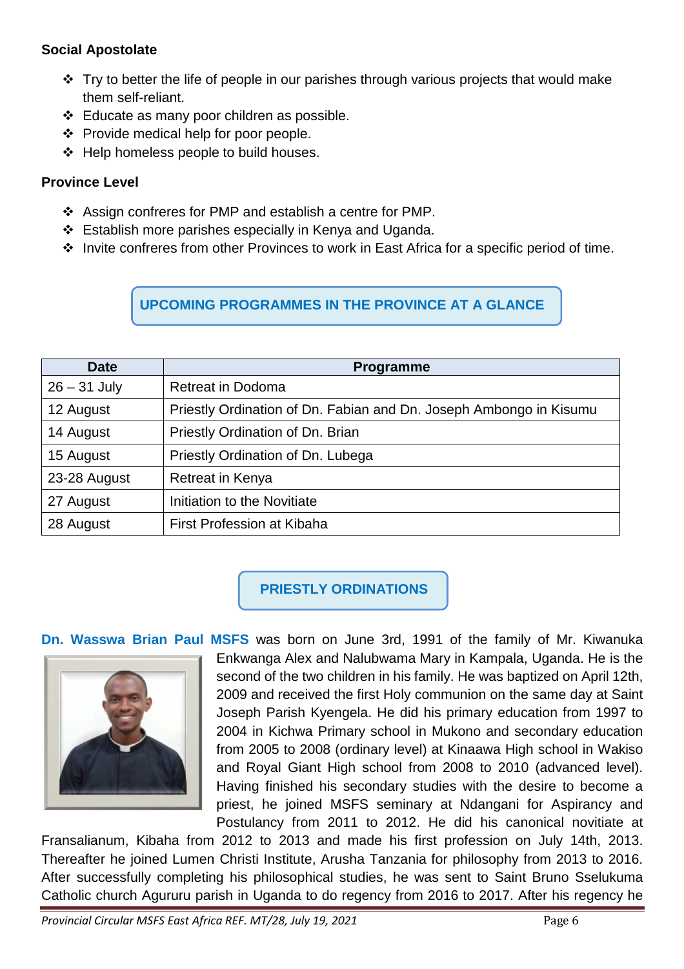#### **Social Apostolate**

- $\cdot$  Try to better the life of people in our parishes through various projects that would make them self-reliant.
- $\div$  Educate as many poor children as possible.
- ❖ Provide medical help for poor people.
- $\div$  Help homeless people to build houses.

### **Province Level**

- Assign confreres for PMP and establish a centre for PMP.
- Establish more parishes especially in Kenya and Uganda.
- Invite confreres from other Provinces to work in East Africa for a specific period of time.

# **UPCOMING PROGRAMMES IN THE PROVINCE AT A GLANCE**

| <b>Date</b>    | <b>Programme</b>                                                   |
|----------------|--------------------------------------------------------------------|
| $26 - 31$ July | <b>Retreat in Dodoma</b>                                           |
| 12 August      | Priestly Ordination of Dn. Fabian and Dn. Joseph Ambongo in Kisumu |
| 14 August      | Priestly Ordination of Dn. Brian                                   |
| 15 August      | Priestly Ordination of Dn. Lubega                                  |
| 23-28 August   | Retreat in Kenya                                                   |
| 27 August      | Initiation to the Novitiate                                        |
| 28 August      | First Profession at Kibaha                                         |

# **PRIESTLY ORDINATIONS**

#### **Dn. Wasswa Brian Paul MSFS** was born on June 3rd, 1991 of the family of Mr. Kiwanuka

![](_page_5_Picture_13.jpeg)

Enkwanga Alex and Nalubwama Mary in Kampala, Uganda. He is the second of the two children in his family. He was baptized on April 12th, 2009 and received the first Holy communion on the same day at Saint Joseph Parish Kyengela. He did his primary education from 1997 to 2004 in Kichwa Primary school in Mukono and secondary education from 2005 to 2008 (ordinary level) at Kinaawa High school in Wakiso and Royal Giant High school from 2008 to 2010 (advanced level). Having finished his secondary studies with the desire to become a priest, he joined MSFS seminary at Ndangani for Aspirancy and Postulancy from 2011 to 2012. He did his canonical novitiate at

Fransalianum, Kibaha from 2012 to 2013 and made his first profession on July 14th, 2013. Thereafter he joined Lumen Christi Institute, Arusha Tanzania for philosophy from 2013 to 2016. After successfully completing his philosophical studies, he was sent to Saint Bruno Sselukuma Catholic church Agururu parish in Uganda to do regency from 2016 to 2017. After his regency he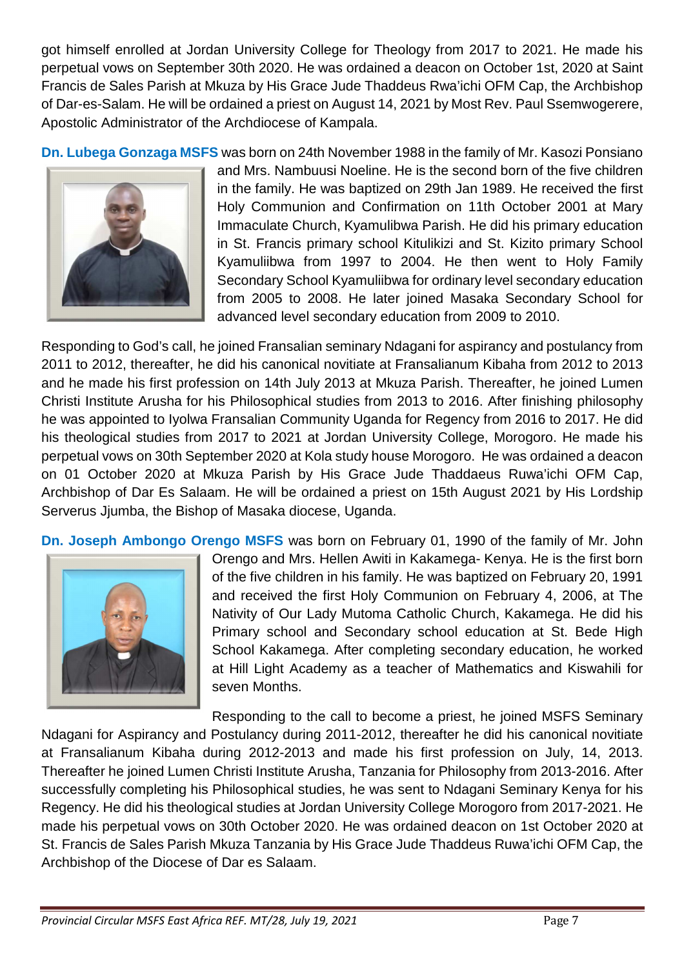got himself enrolled at Jordan University College for Theology from 2017 to 2021. He made his perpetual vows on September 30th 2020. He was ordained a deacon on October 1st, 2020 at Saint Francis de Sales Parish at Mkuza by His Grace Jude Thaddeus Rwa'ichi OFM Cap, the Archbishop of Dar-es-Salam. He will be ordained a priest on August 14, 2021 by Most Rev. Paul Ssemwogerere, Apostolic Administrator of the Archdiocese of Kampala.

**Dn. Lubega Gonzaga MSFS** was born on 24th November 1988 in the family of Mr. Kasozi Ponsiano

![](_page_6_Picture_2.jpeg)

and Mrs. Nambuusi Noeline. He is the second born of the five children in the family. He was baptized on 29th Jan 1989. He received the first Holy Communion and Confirmation on 11th October 2001 at Mary Immaculate Church, Kyamulibwa Parish. He did his primary education in St. Francis primary school Kitulikizi and St. Kizito primary School Kyamuliibwa from 1997 to 2004. He then went to Holy Family Secondary School Kyamuliibwa for ordinary level secondary education from 2005 to 2008. He later joined Masaka Secondary School for advanced level secondary education from 2009 to 2010.

Responding to God's call, he joined Fransalian seminary Ndagani for aspirancy and postulancy from 2011 to 2012, thereafter, he did his canonical novitiate at Fransalianum Kibaha from 2012 to 2013 and he made his first profession on 14th July 2013 at Mkuza Parish. Thereafter, he joined Lumen Christi Institute Arusha for his Philosophical studies from 2013 to 2016. After finishing philosophy he was appointed to Iyolwa Fransalian Community Uganda for Regency from 2016 to 2017. He did his theological studies from 2017 to 2021 at Jordan University College, Morogoro. He made his perpetual vows on 30th September 2020 at Kola study house Morogoro. He was ordained a deacon on 01 October 2020 at Mkuza Parish by His Grace Jude Thaddaeus Ruwa'ichi OFM Cap, Archbishop of Dar Es Salaam. He will be ordained a priest on 15th August 2021 by His Lordship Serverus Jiumba, the Bishop of Masaka diocese, Uganda.

**Dn. Joseph Ambongo Orengo MSFS** was born on February 01, 1990 of the family of Mr. John

![](_page_6_Picture_6.jpeg)

Orengo and Mrs. Hellen Awiti in Kakamega- Kenya. He is the first born of the five children in his family. He was baptized on February 20, 1991 and received the first Holy Communion on February 4, 2006, at The Nativity of Our Lady Mutoma Catholic Church, Kakamega. He did his Primary school and Secondary school education at St. Bede High School Kakamega. After completing secondary education, he worked at Hill Light Academy as a teacher of Mathematics and Kiswahili for seven Months.

Responding to the call to become a priest, he joined MSFS Seminary Ndagani for Aspirancy and Postulancy during 2011-2012, thereafter he did his canonical novitiate at Fransalianum Kibaha during 2012-2013 and made his first profession on July, 14, 2013. Thereafter he joined Lumen Christi Institute Arusha, Tanzania for Philosophy from 2013-2016. After successfully completing his Philosophical studies, he was sent to Ndagani Seminary Kenya for his Regency. He did his theological studies at Jordan University College Morogoro from 2017-2021. He made his perpetual vows on 30th October 2020. He was ordained deacon on 1st October 2020 at St. Francis de Sales Parish Mkuza Tanzania by His Grace Jude Thaddeus Ruwa'ichi OFM Cap, the Archbishop of the Diocese of Dar es Salaam.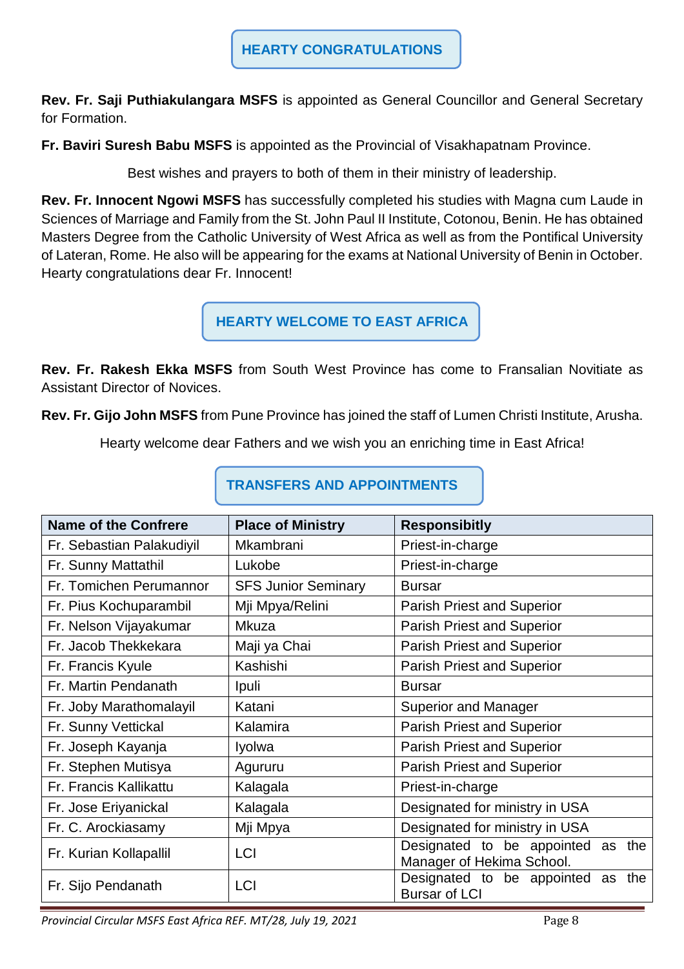**Rev. Fr. Saji Puthiakulangara MSFS** is appointed as General Councillor and General Secretary for Formation.

**Fr. Baviri Suresh Babu MSFS** is appointed as the Provincial of Visakhapatnam Province.

Best wishes and prayers to both of them in their ministry of leadership.

**Rev. Fr. Innocent Ngowi MSFS** has successfully completed his studies with Magna cum Laude in Sciences of Marriage and Family from the St. John Paul II Institute, Cotonou, Benin. He has obtained Masters Degree from the Catholic University of West Africa as well as from the Pontifical University of Lateran, Rome. He also will be appearing for the exams at National University of Benin in October. Hearty congratulations dear Fr. Innocent!

**HEARTY WELCOME TO EAST AFRICA**

**Rev. Fr. Rakesh Ekka MSFS** from South West Province has come to Fransalian Novitiate as Assistant Director of Novices.

**Rev. Fr. Gijo John MSFS** from Pune Province has joined the staff of Lumen Christi Institute, Arusha.

Hearty welcome dear Fathers and we wish you an enriching time in East Africa!

| <b>Name of the Confrere</b> | <b>Place of Ministry</b>   | <b>Responsibitly</b>                                              |
|-----------------------------|----------------------------|-------------------------------------------------------------------|
| Fr. Sebastian Palakudiyil   | Mkambrani                  | Priest-in-charge                                                  |
| Fr. Sunny Mattathil         | Lukobe                     | Priest-in-charge                                                  |
| Fr. Tomichen Perumannor     | <b>SFS Junior Seminary</b> | <b>Bursar</b>                                                     |
| Fr. Pius Kochuparambil      | Mji Mpya/Relini            | <b>Parish Priest and Superior</b>                                 |
| Fr. Nelson Vijayakumar      | Mkuza                      | Parish Priest and Superior                                        |
| Fr. Jacob Thekkekara        | Maji ya Chai               | <b>Parish Priest and Superior</b>                                 |
| Fr. Francis Kyule           | Kashishi                   | <b>Parish Priest and Superior</b>                                 |
| Fr. Martin Pendanath        | Ipuli                      | <b>Bursar</b>                                                     |
| Fr. Joby Marathomalayil     | Katani                     | <b>Superior and Manager</b>                                       |
| Fr. Sunny Vettickal         | Kalamira                   | <b>Parish Priest and Superior</b>                                 |
| Fr. Joseph Kayanja          | Iyolwa                     | <b>Parish Priest and Superior</b>                                 |
| Fr. Stephen Mutisya         | Agururu                    | <b>Parish Priest and Superior</b>                                 |
| Fr. Francis Kallikattu      | Kalagala                   | Priest-in-charge                                                  |
| Fr. Jose Eriyanickal        | Kalagala                   | Designated for ministry in USA                                    |
| Fr. C. Arockiasamy          | Mji Mpya                   | Designated for ministry in USA                                    |
| Fr. Kurian Kollapallil      | <b>LCI</b>                 | Designated to be appointed as<br>the<br>Manager of Hekima School. |
| Fr. Sijo Pendanath          | <b>LCI</b>                 | Designated to be appointed as<br>the<br><b>Bursar of LCI</b>      |

**TRANSFERS AND APPOINTMENTS**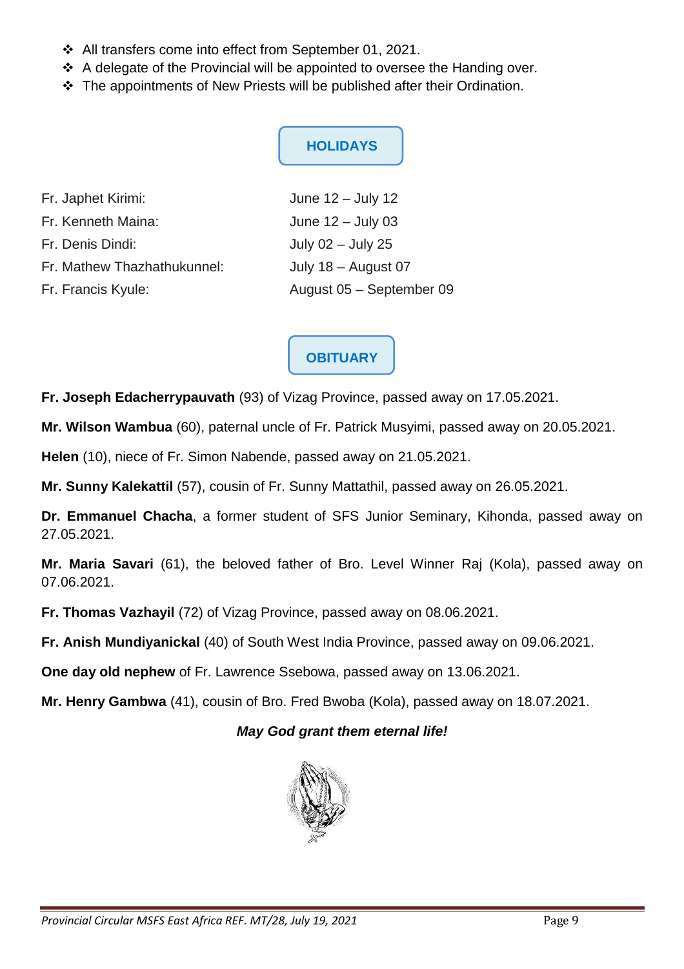- All transfers come into effect from September 01, 2021.
- ❖ A delegate of the Provincial will be appointed to oversee the Handing over.
- The appointments of New Priests will be published after their Ordination.

# **HOLIDAYS**

| Fr. Japhet Kirimi:          | June $12 -$ July 12      |
|-----------------------------|--------------------------|
| Fr. Kenneth Maina:          | June $12 -$ July 03      |
| Fr. Denis Dindi:            | July $02 -$ July 25      |
| Fr. Mathew Thazhathukunnel: | July 18 - August 07      |
| Fr. Francis Kyule:          | August 05 - September 09 |

# **OBITUARY**

**Fr. Joseph Edacherrypauvath** (93) of Vizag Province, passed away on 17.05.2021.

**Mr. Wilson Wambua** (60), paternal uncle of Fr. Patrick Musyimi, passed away on 20.05.2021.

**Helen** (10), niece of Fr. Simon Nabende, passed away on 21.05.2021.

**Mr. Sunny Kalekattil** (57), cousin of Fr. Sunny Mattathil, passed away on 26.05.2021.

**Dr. Emmanuel Chacha**, a former student of SFS Junior Seminary, Kihonda, passed away on 27.05.2021.

**Mr. Maria Savari** (61), the beloved father of Bro. Level Winner Raj (Kola), passed away on 07.06.2021.

**Fr. Thomas Vazhayil** (72) of Vizag Province, passed away on 08.06.2021.

**Fr. Anish Mundiyanickal** (40) of South West India Province, passed away on 09.06.2021.

**One day old nephew** of Fr. Lawrence Ssebowa, passed away on 13.06.2021.

**Mr. Henry Gambwa** (41), cousin of Bro. Fred Bwoba (Kola), passed away on 18.07.2021.

#### **May God grant them eternal life!**

![](_page_8_Picture_17.jpeg)